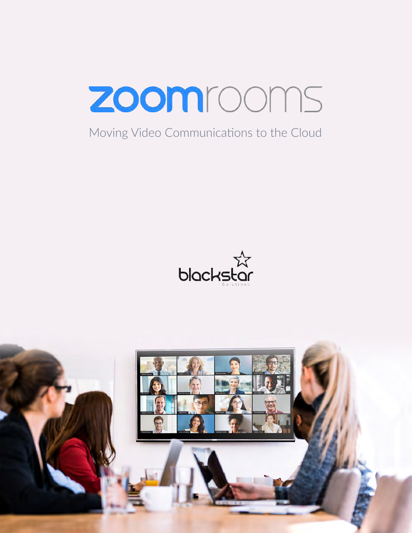

## Moving Video Communications to the Cloud



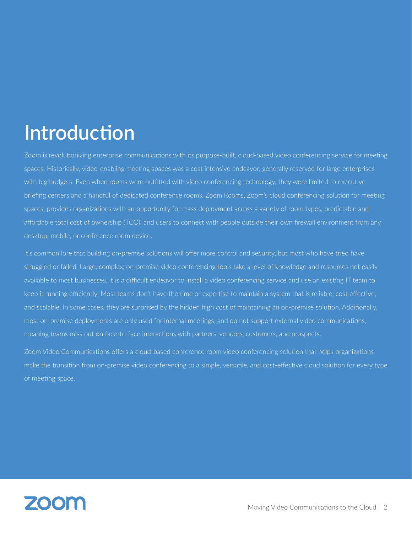# **Introduction**

Zoom is revolutionizing enterprise communications with its purpose-built, cloud-based video conferencing service for meeting spaces. Historically, video-enabling meeting spaces was a cost intensive endeavor, generally reserved for large enterprises with big budgets. Even when rooms were outfitted with video conferencing technology, they were limited to executive briefing centers and a handful of dedicated conference rooms. Zoom Rooms, Zoom's cloud conferencing solution for meeting spaces, provides organizations with an opportunity for mass deployment across a variety of room types, predictable and affordable total cost of ownership (TCO), and users to connect with people outside their own firewall environment from any desktop, mobile, or conference room device.

It's common lore that building on-premise solutions will offer more control and security, but most who have tried have struggled or failed. Large, complex, on-premise video conferencing tools take a level of knowledge and resources not easily available to most businesses. It is a difficult endeavor to install a video conferencing service and use an existing IT team to keep it running efficiently. Most teams don't have the time or expertise to maintain a system that is reliable, cost effective, and scalable. In some cases, they are surprised by the hidden high cost of maintaining an on-premise solution. Additionally, most on-premise deployments are only used for internal meetings, and do not support external video communications, meaning teams miss out on face-to-face interactions with partners, vendors, customers, and prospects.

Zoom Video Communications offers a cloud-based conference room video conferencing solution that helps organizations make the transition from on-premise video conferencing to a simple, versatile, and cost-effective cloud solution for every type of meeting space.

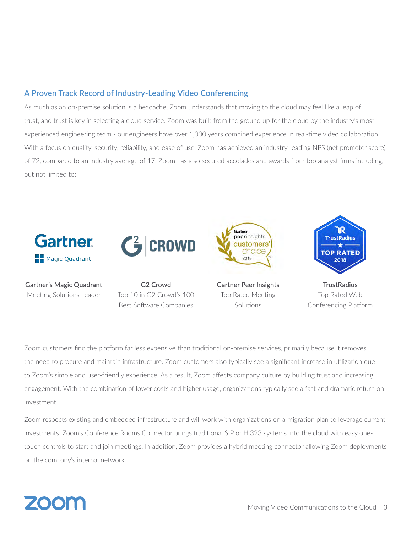#### **A Proven Track Record of Industry-Leading Video Conferencing**

As much as an on-premise solution is a headache, Zoom understands that moving to the cloud may feel like a leap of trust, and trust is key in selecting a cloud service. Zoom was built from the ground up for the cloud by the industry's most experienced engineering team - our engineers have over 1,000 years combined experience in real-time video collaboration. With a focus on quality, security, reliability, and ease of use, Zoom has achieved an industry-leading NPS (net promoter score) of 72, compared to an industry average of 17. Zoom has also secured accolades and awards from top analyst firms including, but not limited to:



Zoom customers find the platform far less expensive than traditional on-premise services, primarily because it removes the need to procure and maintain infrastructure. Zoom customers also typically see a significant increase in utilization due to Zoom's simple and user-friendly experience. As a result, Zoom affects company culture by building trust and increasing engagement. With the combination of lower costs and higher usage, organizations typically see a fast and dramatic return on investment.

Zoom respects existing and embedded infrastructure and will work with organizations on a migration plan to leverage current investments. Zoom's Conference Rooms Connector brings traditional SIP or H.323 systems into the cloud with easy onetouch controls to start and join meetings. In addition, Zoom provides a hybrid meeting connector allowing Zoom deployments on the company's internal network.

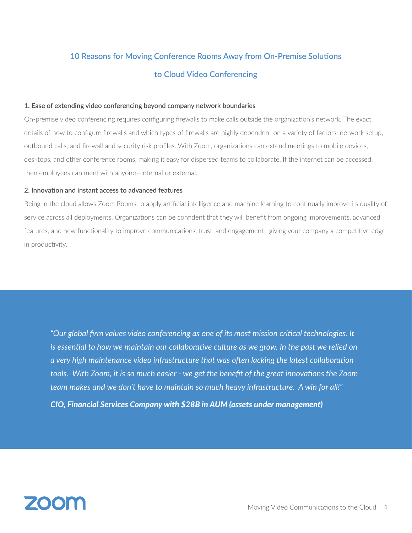### **10 Reasons for Moving Conference Rooms Away from On-Premise Solutions to Cloud Video Conferencing**

#### **1. Ease of extending video conferencing beyond company network boundaries**

On-premise video conferencing requires configuring firewalls to make calls outside the organization's network. The exact details of how to configure firewalls and which types of firewalls are highly dependent on a variety of factors: network setup, outbound calls, and firewall and security risk profiles. With Zoom, organizations can extend meetings to mobile devices, desktops, and other conference rooms, making it easy for dispersed teams to collaborate. If the internet can be accessed, then employees can meet with anyone—internal or external.

#### **2. Innovation and instant access to advanced features**

Being in the cloud allows Zoom Rooms to apply artificial intelligence and machine learning to continually improve its quality of service across all deployments. Organizations can be confident that they will benefit from ongoing improvements, advanced features, and new functionality to improve communications, trust, and engagement—giving your company a competitive edge in productivity.

*"Our global firm values video conferencing as one of its most mission critical technologies. It is essential to how we maintain our collaborative culture as we grow. In the past we relied on a very high maintenance video infrastructure that was often lacking the latest collaboration tools. With Zoom, it is so much easier - we get the benefit of the great innovations the Zoom team makes and we don't have to maintain so much heavy infrastructure. A win for all!"* 

*CIO, Financial Services Company with \$28B in AUM (assets under management)*

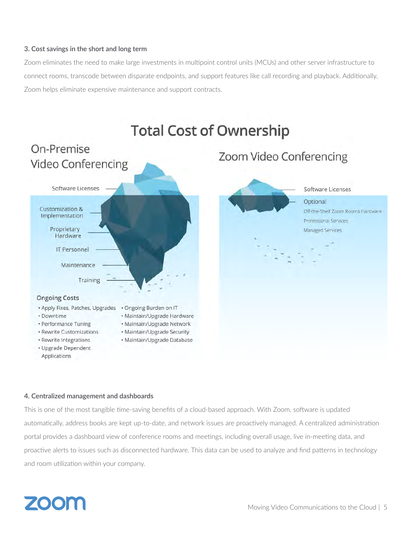#### **3. Cost savings in the short and long term**

Zoom eliminates the need to make large investments in multipoint control units (MCUs) and other server infrastructure to connect rooms, transcode between disparate endpoints, and support features like call recording and playback. Additionally, Zoom helps eliminate expensive maintenance and support contracts.



#### **4. Centralized management and dashboards**

This is one of the most tangible time-saving benefits of a cloud-based approach. With Zoom, software is updated automatically, address books are kept up-to-date, and network issues are proactively managed. A centralized administration portal provides a dashboard view of conference rooms and meetings, including overall usage, live in-meeting data, and proactive alerts to issues such as disconnected hardware. This data can be used to analyze and find patterns in technology and room utilization within your company.

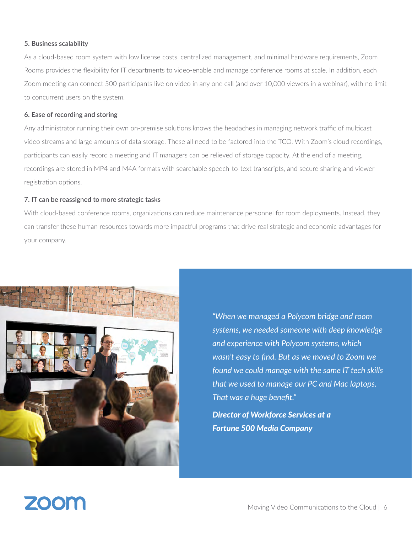#### **5. Business scalability**

As a cloud-based room system with low license costs, centralized management, and minimal hardware requirements, Zoom Rooms provides the flexibility for IT departments to video-enable and manage conference rooms at scale. In addition, each Zoom meeting can connect 500 participants live on video in any one call (and over 10,000 viewers in a webinar), with no limit to concurrent users on the system.

#### **6. Ease of recording and storing**

Any administrator running their own on-premise solutions knows the headaches in managing network traffic of multicast video streams and large amounts of data storage. These all need to be factored into the TCO. With Zoom's cloud recordings, participants can easily record a meeting and IT managers can be relieved of storage capacity. At the end of a meeting, recordings are stored in MP4 and M4A formats with searchable speech-to-text transcripts, and secure sharing and viewer registration options.

#### **7. IT can be reassigned to more strategic tasks**

With cloud-based conference rooms, organizations can reduce maintenance personnel for room deployments. Instead, they can transfer these human resources towards more impactful programs that drive real strategic and economic advantages for your company.



*"When we managed a Polycom bridge and room systems, we needed someone with deep knowledge and experience with Polycom systems, which wasn't easy to find. But as we moved to Zoom we found we could manage with the same IT tech skills that we used to manage our PC and Mac laptops. That was a huge benefit."* 

*Director of Workforce Services at a Fortune 500 Media Company*

## ZOON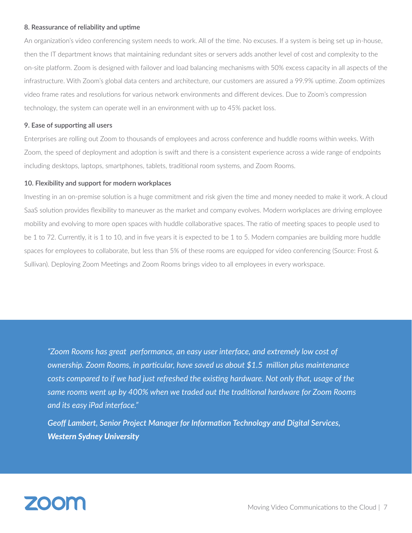#### **8. Reassurance of reliability and uptime**

An organization's video conferencing system needs to work. All of the time. No excuses. If a system is being set up in-house, then the IT department knows that maintaining redundant sites or servers adds another level of cost and complexity to the on-site platform. Zoom is designed with failover and load balancing mechanisms with 50% excess capacity in all aspects of the infrastructure. With Zoom's global data centers and architecture, our customers are assured a 99.9% uptime. Zoom optimizes video frame rates and resolutions for various network environments and different devices. Due to Zoom's compression technology, the system can operate well in an environment with up to 45% packet loss.

#### **9. Ease of supporting all users**

Enterprises are rolling out Zoom to thousands of employees and across conference and huddle rooms within weeks. With Zoom, the speed of deployment and adoption is swift and there is a consistent experience across a wide range of endpoints including desktops, laptops, smartphones, tablets, traditional room systems, and Zoom Rooms.

#### **10. Flexibility and support for modern workplaces**

Investing in an on-premise solution is a huge commitment and risk given the time and money needed to make it work. A cloud SaaS solution provides flexibility to maneuver as the market and company evolves. Modern workplaces are driving employee mobility and evolving to more open spaces with huddle collaborative spaces. The ratio of meeting spaces to people used to be 1 to 72. Currently, it is 1 to 10, and in five years it is expected to be 1 to 5. Modern companies are building more huddle spaces for employees to collaborate, but less than 5% of these rooms are equipped for video conferencing (Source: Frost & Sullivan). Deploying Zoom Meetings and Zoom Rooms brings video to all employees in every workspace.

*"Zoom Rooms has great performance, an easy user interface, and extremely low cost of ownership. Zoom Rooms, in particular, have saved us about \$1.5 million plus maintenance costs compared to if we had just refreshed the existing hardware. Not only that, usage of the same rooms went up by 400% when we traded out the traditional hardware for Zoom Rooms and its easy iPad interface."*

*Geoff Lambert, Senior Project Manager for Information Technology and Digital Services, Western Sydney University*